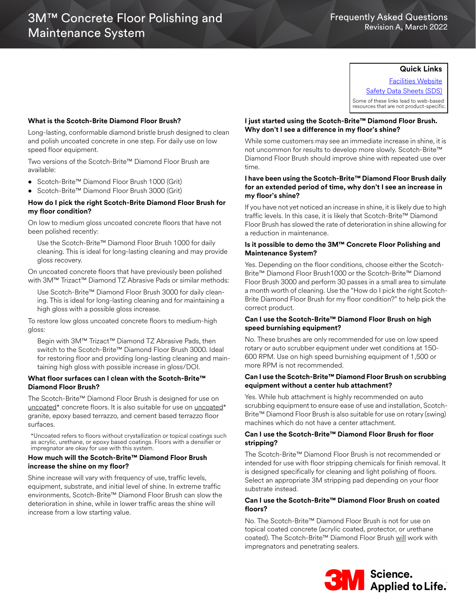## **Quick Links**

[Facilities Website](www.mmm.com/facilities) [Safety Data Sheets \(SDS\)](https://www.3m.com/3M/en_US/commercial-cleaning-us/resources/sds-finder/)

Some of these links lead to web-based resources that are not product-specific.

#### **What is the Scotch-Brite Diamond Floor Brush?**

Long-lasting, conformable diamond bristle brush designed to clean and polish uncoated concrete in one step. For daily use on low speed floor equipment.

Two versions of the Scotch-Brite™ Diamond Floor Brush are available:

- Scotch-Brite™ Diamond Floor Brush 1000 (Grit)
- Scotch-Brite™ Diamond Floor Brush 3000 (Grit)

### **How do I pick the right Scotch-Brite Diamond Floor Brush for my floor condition?**

On low to medium gloss uncoated concrete floors that have not been polished recently:

Use the Scotch-Brite™ Diamond Floor Brush 1000 for daily cleaning. This is ideal for long-lasting cleaning and may provide gloss recovery.

On uncoated concrete floors that have previously been polished with 3M™ Trizact™ Diamond TZ Abrasive Pads or similar methods:

Use Scotch-Brite™ Diamond Floor Brush 3000 for daily cleaning. This is ideal for long-lasting cleaning and for maintaining a high gloss with a possible gloss increase.

To restore low gloss uncoated concrete floors to medium-high gloss:

Begin with 3M™ Trizact™ Diamond TZ Abrasive Pads, then switch to the Scotch-Brite™ Diamond Floor Brush 3000. Ideal for restoring floor and providing long-lasting cleaning and maintaining high gloss with possible increase in gloss/DOI.

#### **What floor surfaces can I clean with the Scotch-Brite™ Diamond Floor Brush?**

The Scotch-Brite™ Diamond Floor Brush is designed for use on uncoated\* concrete floors. It is also suitable for use on uncoated\* granite, epoxy based terrazzo, and cement based terrazzo floor surfaces.

\*Uncoated refers to floors without crystallization or topical coatings such as acrylic, urethane, or epoxy based coatings. Floors with a densifier or impregnator are okay for use with this system.

#### **How much will the Scotch-Brite™ Diamond Floor Brush increase the shine on my floor?**

Shine increase will vary with frequency of use, traffic levels, equipment, substrate, and initial level of shine. In extreme traffic environments, Scotch-Brite™ Diamond Floor Brush can slow the deterioration in shine, while in lower traffic areas the shine will increase from a low starting value.

#### **I just started using the Scotch-Brite™ Diamond Floor Brush. Why don't I see a difference in my floor's shine?**

While some customers may see an immediate increase in shine, it is not uncommon for results to develop more slowly. Scotch-Brite™ Diamond Floor Brush should improve shine with repeated use over time.

### **I have been using the Scotch-Brite™ Diamond Floor Brush daily for an extended period of time, why don't I see an increase in my floor's shine?**

If you have not yet noticed an increase in shine, it is likely due to high traffic levels. In this case, it is likely that Scotch-Brite™ Diamond Floor Brush has slowed the rate of deterioration in shine allowing for a reduction in maintenance.

#### **Is it possible to demo the 3M™ Concrete Floor Polishing and Maintenance System?**

Yes. Depending on the floor conditions, choose either the Scotch-Brite™ Diamond Floor Brush1000 or the Scotch-Brite™ Diamond Floor Brush 3000 and perform 30 passes in a small area to simulate a month worth of cleaning. Use the "How do I pick the right Scotch-Brite Diamond Floor Brush for my floor condition?" to help pick the correct product.

#### **Can I use the Scotch-Brite™ Diamond Floor Brush on high speed burnishing equipment?**

No. These brushes are only recommended for use on low speed rotary or auto scrubber equipment under wet conditions at 150- 600 RPM. Use on high speed burnishing equipment of 1,500 or more RPM is not recommended.

## **Can I use the Scotch-Brite™ Diamond Floor Brush on scrubbing equipment without a center hub attachment?**

Yes. While hub attachment is highly recommended on auto scrubbing equipment to ensure ease of use and installation, Scotch-Brite™ Diamond Floor Brush is also suitable for use on rotary (swing) machines which do not have a center attachment.

### **Can I use the Scotch-Brite™ Diamond Floor Brush for floor stripping?**

The Scotch-Brite™ Diamond Floor Brush is not recommended or intended for use with floor stripping chemicals for finish removal. It is designed specifically for cleaning and light polishing of floors. Select an appropriate 3M stripping pad depending on your floor substrate instead.

## **Can I use the Scotch-Brite™ Diamond Floor Brush on coated floors?**

No. The Scotch-Brite™ Diamond Floor Brush is not for use on topical coated concrete (acrylic coated, protector, or urethane coated). The Scotch-Brite™ Diamond Floor Brush will work with impregnators and penetrating sealers.

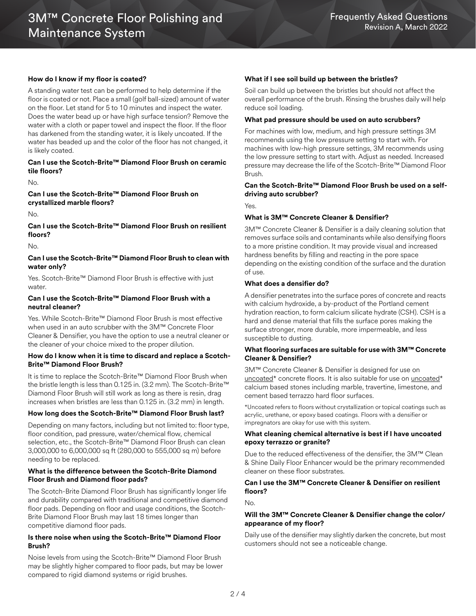## **How do I know if my floor is coated?**

A standing water test can be performed to help determine if the floor is coated or not. Place a small (golf ball-sized) amount of water on the floor. Let stand for 5 to 10 minutes and inspect the water. Does the water bead up or have high surface tension? Remove the water with a cloth or paper towel and inspect the floor. If the floor has darkened from the standing water, it is likely uncoated. If the water has beaded up and the color of the floor has not changed, it is likely coated.

### **Can I use the Scotch-Brite™ Diamond Floor Brush on ceramic tile floors?**

No.

**Can I use the Scotch-Brite™ Diamond Floor Brush on crystallized marble floors?**

No.

**Can I use the Scotch-Brite™ Diamond Floor Brush on resilient floors?**

No.

## **Can I use the Scotch-Brite™ Diamond Floor Brush to clean with water only?**

Yes. Scotch-Brite™ Diamond Floor Brush is effective with just water.

#### **Can I use the Scotch-Brite™ Diamond Floor Brush with a neutral cleaner?**

Yes. While Scotch-Brite™ Diamond Floor Brush is most effective when used in an auto scrubber with the 3M™ Concrete Floor Cleaner & Densifier, you have the option to use a neutral cleaner or the cleaner of your choice mixed to the proper dilution.

#### **How do I know when it is time to discard and replace a Scotch-Brite™ Diamond Floor Brush?**

It is time to replace the Scotch-Brite™ Diamond Floor Brush when the bristle length is less than 0.125 in. (3.2 mm). The Scotch-Brite™ Diamond Floor Brush will still work as long as there is resin, drag increases when bristles are less than 0.125 in. (3.2 mm) in length.

## **How long does the Scotch-Brite™ Diamond Floor Brush last?**

Depending on many factors, including but not limited to: floor type, floor condition, pad pressure, water/chemical flow, chemical selection, etc., the Scotch-Brite™ Diamond Floor Brush can clean 3,000,000 to 6,000,000 sq ft (280,000 to 555,000 sq m) before needing to be replaced.

#### **What is the difference between the Scotch-Brite Diamond Floor Brush and Diamond floor pads?**

The Scotch-Brite Diamond Floor Brush has significantly longer life and durability compared with traditional and competitive diamond floor pads. Depending on floor and usage conditions, the Scotch-Brite Diamond Floor Brush may last 18 times longer than competitive diamond floor pads.

## **Is there noise when using the Scotch-Brite™ Diamond Floor Brush?**

Noise levels from using the Scotch-Brite™ Diamond Floor Brush may be slightly higher compared to floor pads, but may be lower compared to rigid diamond systems or rigid brushes.

### **What if I see soil build up between the bristles?**

Soil can build up between the bristles but should not affect the overall performance of the brush. Rinsing the brushes daily will help reduce soil loading.

#### **What pad pressure should be used on auto scrubbers?**

For machines with low, medium, and high pressure settings 3M recommends using the low pressure setting to start with. For machines with low-high pressure settings, 3M recommends using the low pressure setting to start with. Adjust as needed. Increased pressure may decrease the life of the Scotch-Brite™ Diamond Floor Brush.

## **Can the Scotch-Brite™ Diamond Floor Brush be used on a selfdriving auto scrubber?**

Yes.

## **What is 3M™ Concrete Cleaner & Densifier?**

3M™ Concrete Cleaner & Densifier is a daily cleaning solution that removes surface soils and contaminants while also densifying floors to a more pristine condition. It may provide visual and increased hardness benefits by filling and reacting in the pore space depending on the existing condition of the surface and the duration of use.

#### **What does a densifier do?**

A densifier penetrates into the surface pores of concrete and reacts with calcium hydroxide, a by-product of the Portland cement hydration reaction, to form calcium silicate hydrate (CSH). CSH is a hard and dense material that fills the surface pores making the surface stronger, more durable, more impermeable, and less susceptible to dusting.

#### **What flooring surfaces are suitable for use with 3M™ Concrete Cleaner & Densifier?**

3M™ Concrete Cleaner & Densifier is designed for use on uncoated\* concrete floors. It is also suitable for use on uncoated\* calcium based stones including marble, travertine, limestone, and cement based terrazzo hard floor surfaces.

\*Uncoated refers to floors without crystallization or topical coatings such as acrylic, urethane, or epoxy based coatings. Floors with a densifier or impregnators are okay for use with this system.

#### **What cleaning chemical alternative is best if I have uncoated epoxy terrazzo or granite?**

Due to the reduced effectiveness of the densifier, the 3M™ Clean & Shine Daily Floor Enhancer would be the primary recommended cleaner on these floor substrates.

## **Can I use the 3M™ Concrete Cleaner & Densifier on resilient floors?**

No.

## **Will the 3M™ Concrete Cleaner & Densifier change the color/ appearance of my floor?**

Daily use of the densifier may slightly darken the concrete, but most customers should not see a noticeable change.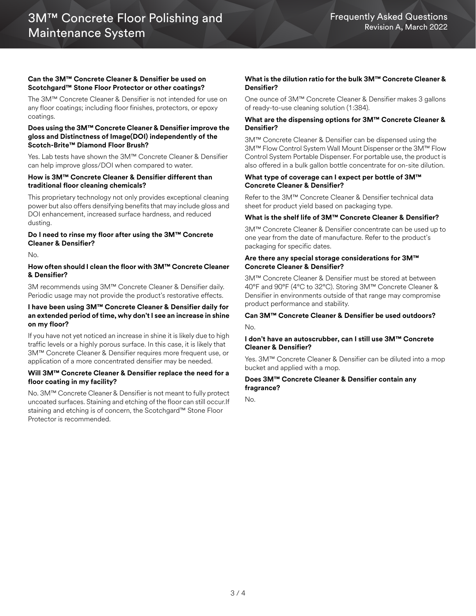### **Can the 3M™ Concrete Cleaner & Densifier be used on Scotchgard™ Stone Floor Protector or other coatings?**

The 3M™ Concrete Cleaner & Densifier is not intended for use on any floor coatings; including floor finishes, protectors, or epoxy coatings.

### **Does using the 3M™ Concrete Cleaner & Densifier improve the gloss and Distinctness of Image(DOI) independently of the Scotch-Brite™ Diamond Floor Brush?**

Yes. Lab tests have shown the 3M™ Concrete Cleaner & Densifier can help improve gloss/DOI when compared to water.

#### **How is 3M™ Concrete Cleaner & Densifier different than traditional floor cleaning chemicals?**

This proprietary technology not only provides exceptional cleaning power but also offers densifying benefits that may include gloss and DOI enhancement, increased surface hardness, and reduced dusting.

## **Do I need to rinse my floor after using the 3M™ Concrete Cleaner & Densifier?**

No.

## **How often should I clean the floor with 3M™ Concrete Cleaner & Densifier?**

3M recommends using 3M™ Concrete Cleaner & Densifier daily. Periodic usage may not provide the product's restorative effects.

## **I have been using 3M™ Concrete Cleaner & Densifier daily for an extended period of time, why don't I see an increase in shine on my floor?**

If you have not yet noticed an increase in shine it is likely due to high traffic levels or a highly porous surface. In this case, it is likely that 3M™ Concrete Cleaner & Densifier requires more frequent use, or application of a more concentrated densifier may be needed.

#### **Will 3M™ Concrete Cleaner & Densifier replace the need for a floor coating in my facility?**

No. 3M™ Concrete Cleaner & Densifier is not meant to fully protect uncoated surfaces. Staining and etching of the floor can still occur.If staining and etching is of concern, the Scotchgard™ Stone Floor Protector is recommended.

## **What is the dilution ratio for the bulk 3M™ Concrete Cleaner & Densifier?**

One ounce of 3M™ Concrete Cleaner & Densifier makes 3 gallons of ready-to-use cleaning solution (1:384).

## **What are the dispensing options for 3M™ Concrete Cleaner & Densifier?**

3M™ Concrete Cleaner & Densifier can be dispensed using the 3M™ Flow Control System Wall Mount Dispenser or the 3M™ Flow Control System Portable Dispenser. For portable use, the product is also offered in a bulk gallon bottle concentrate for on-site dilution.

#### **What type of coverage can I expect per bottle of 3M™ Concrete Cleaner & Densifier?**

Refer to the 3M™ Concrete Cleaner & Densifier technical data sheet for product yield based on packaging type.

## **What is the shelf life of 3M™ Concrete Cleaner & Densifier?**

3M™ Concrete Cleaner & Densifier concentrate can be used up to one year from the date of manufacture. Refer to the product's packaging for specific dates.

### **Are there any special storage considerations for 3M™ Concrete Cleaner & Densifier?**

3M™ Concrete Cleaner & Densifier must be stored at between 40°F and 90°F (4°C to 32°C). Storing 3M™ Concrete Cleaner & Densifier in environments outside of that range may compromise product performance and stability.

## **Can 3M™ Concrete Cleaner & Densifier be used outdoors?** No.

## **I don't have an autoscrubber, can I still use 3M™ Concrete Cleaner & Densifier?**

Yes. 3M™ Concrete Cleaner & Densifier can be diluted into a mop bucket and applied with a mop.

## **Does 3M™ Concrete Cleaner & Densifier contain any fragrance?**

No.